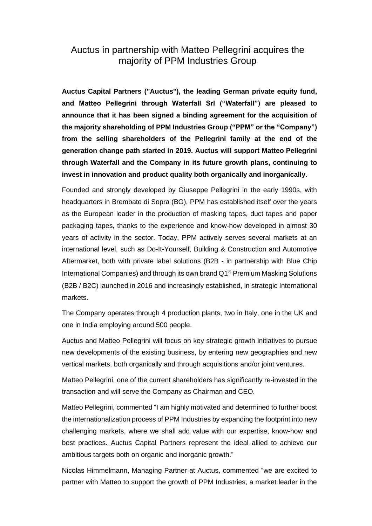## Auctus in partnership with Matteo Pellegrini acquires the majority of PPM Industries Group

**Auctus Capital Partners ("Auctus"), the leading German private equity fund, and Matteo Pellegrini through Waterfall Srl ("Waterfall") are pleased to announce that it has been signed a binding agreement for the acquisition of the majority shareholding of PPM Industries Group ("PPM" or the "Company") from the selling shareholders of the Pellegrini family at the end of the generation change path started in 2019. Auctus will support Matteo Pellegrini through Waterfall and the Company in its future growth plans, continuing to invest in innovation and product quality both organically and inorganically**.

Founded and strongly developed by Giuseppe Pellegrini in the early 1990s, with headquarters in Brembate di Sopra (BG), PPM has established itself over the years as the European leader in the production of masking tapes, duct tapes and paper packaging tapes, thanks to the experience and know-how developed in almost 30 years of activity in the sector. Today, PPM actively serves several markets at an international level, such as Do-It-Yourself, Building & Construction and Automotive Aftermarket, both with private label solutions (B2B - in partnership with Blue Chip International Companies) and through its own brand  $Q1^{\circ}$  Premium Masking Solutions (B2B / B2C) launched in 2016 and increasingly established, in strategic International markets.

The Company operates through 4 production plants, two in Italy, one in the UK and one in India employing around 500 people.

Auctus and Matteo Pellegrini will focus on key strategic growth initiatives to pursue new developments of the existing business, by entering new geographies and new vertical markets, both organically and through acquisitions and/or joint ventures.

Matteo Pellegrini, one of the current shareholders has significantly re-invested in the transaction and will serve the Company as Chairman and CEO.

Matteo Pellegrini, commented "I am highly motivated and determined to further boost the internationalization process of PPM Industries by expanding the footprint into new challenging markets, where we shall add value with our expertise, know-how and best practices. Auctus Capital Partners represent the ideal allied to achieve our ambitious targets both on organic and inorganic growth."

Nicolas Himmelmann, Managing Partner at Auctus, commented "we are excited to partner with Matteo to support the growth of PPM Industries, a market leader in the